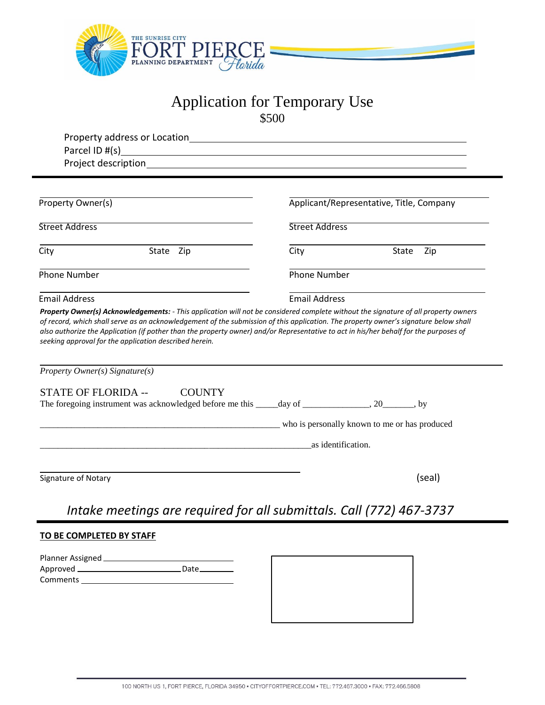

# Application for Temporary Use \$500

| Property Owner(s)                                                                   | Applicant/Representative, Title, Company                                                           |
|-------------------------------------------------------------------------------------|----------------------------------------------------------------------------------------------------|
| Street Address                                                                      | <b>Street Address</b>                                                                              |
| State Zip<br>City                                                                   | State Zip<br>City                                                                                  |
| Phone Number                                                                        | <b>Phone Number</b>                                                                                |
| <b>Email Address</b>                                                                | <b>Email Address</b>                                                                               |
|                                                                                     |                                                                                                    |
| <b>COUNTY</b>                                                                       | The foregoing instrument was acknowledged before me this _____day of ______________, 20_______, by |
|                                                                                     |                                                                                                    |
|                                                                                     | as identification.                                                                                 |
|                                                                                     | (seal)                                                                                             |
| Property Owner(s) Signature(s)<br><b>STATE OF FLORIDA --</b><br>Signature of Notary | Intake meetings are required for all submittals. Call (772) 467-3737                               |
| TO BE COMPLETED BY STAFF                                                            |                                                                                                    |